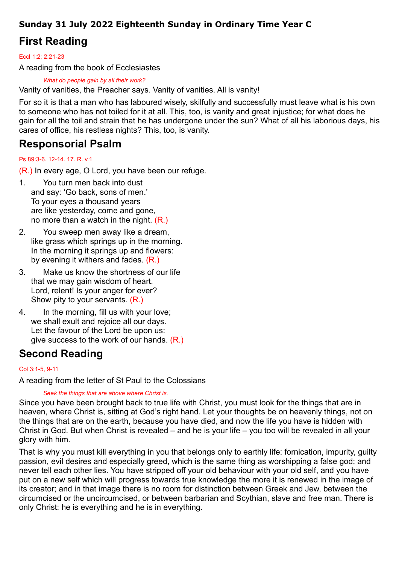### Sunday 31 July 2022 Eighteenth Sunday in Ordinary Time Year C

# First Reading

Eccl 1:2; 2:21-23

A reading from the book of Ecclesiastes

What do people gain by all their work?

Vanity of vanities, the Preacher says. Vanity of vanities. All is vanity!

For so it is that a man who has laboured wisely, skilfully and successfully must leave what is his own to someone who has not toiled for it at all. This, too, is vanity and great injustice; for what does he gain for all the toil and strain that he has undergone under the sun? What of all his laborious days, his cares of office, his restless nights? This, too, is vanity.

## Responsorial Psalm

#### Ps 89:3-6. 12-14. 17. R. v.1

(R.) In every age, O Lord, you have been our refuge.

- 1. You turn men back into dust and say: 'Go back, sons of men.' To your eyes a thousand years are like yesterday, come and gone, no more than a watch in the night. (R.)
- 2. You sweep men away like a dream, like grass which springs up in the morning. In the morning it springs up and flowers: by evening it withers and fades. (R.)
- 3. Make us know the shortness of our life that we may gain wisdom of heart. Lord, relent! Is your anger for ever? Show pity to your servants. (R.)
- 4. In the morning, fill us with your love; we shall exult and rejoice all our days. Let the favour of the Lord be upon us: give success to the work of our hands. (R.)

## Second Reading

#### Col 3:1-5, 9-11

A reading from the letter of St Paul to the Colossians

#### Seek the things that are above where Christ is.

Since you have been brought back to true life with Christ, you must look for the things that are in heaven, where Christ is, sitting at God's right hand. Let your thoughts be on heavenly things, not on the things that are on the earth, because you have died, and now the life you have is hidden with Christ in God. But when Christ is revealed – and he is your life – you too will be revealed in all your glory with him.

That is why you must kill everything in you that belongs only to earthly life: fornication, impurity, guilty passion, evil desires and especially greed, which is the same thing as worshipping a false god; and never tell each other lies. You have stripped off your old behaviour with your old self, and you have put on a new self which will progress towards true knowledge the more it is renewed in the image of its creator; and in that image there is no room for distinction between Greek and Jew, between the circumcised or the uncircumcised, or between barbarian and Scythian, slave and free man. There is only Christ: he is everything and he is in everything.